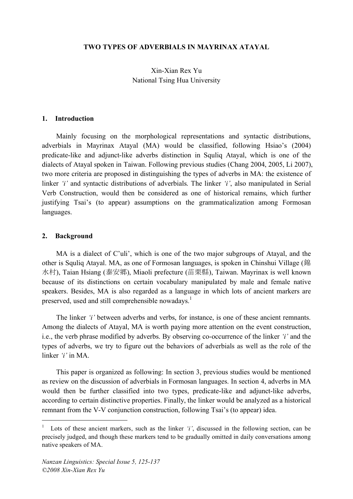#### **TWO TYPES OF ADVERBIALS IN MAYRINAX ATAYAL**

Xin-Xian Rex Yu National Tsing Hua University

#### **1. Introduction**

Mainly focusing on the morphological representations and syntactic distributions, adverbials in Mayrinax Atayal (MA) would be classified, following Hsiao's (2004) predicate-like and adjunct-like adverbs distinction in Squliq Atayal, which is one of the dialects of Atayal spoken in Taiwan. Following previous studies (Chang 2004, 2005, Li 2007), two more criteria are proposed in distinguishing the types of adverbs in MA: the existence of linker *'i'* and syntactic distributions of adverbials. The linker *'i'*, also manipulated in Serial Verb Construction, would then be considered as one of historical remains, which further justifying Tsai's (to appear) assumptions on the grammaticalization among Formosan languages.

#### **2. Background**

MA is a dialect of C'uli', which is one of the two major subgroups of Atayal, and the other is Squliq Atayal. MA, as one of Formosan languages, is spoken in Chinshui Village (錦 水村), Taian Hsiang (泰安郷), Miaoli prefecture (苗栗縣), Taiwan. Mayrinax is well known because of its distinctions on certain vocabulary manipulated by male and female native speakers. Besides, MA is also regarded as a language in which lots of ancient markers are preserved, used and still comprehensible nowadays.<sup>1</sup>

The linker *'i'* between adverbs and verbs, for instance, is one of these ancient remnants. Among the dialects of Atayal, MA is worth paying more attention on the event construction, i.e., the verb phrase modified by adverbs. By observing co-occurrence of the linker *'i'* and the types of adverbs, we try to figure out the behaviors of adverbials as well as the role of the linker *'i'* in MA.

This paper is organized as following: In section 3, previous studies would be mentioned as review on the discussion of adverbials in Formosan languages. In section 4, adverbs in MA would then be further classified into two types, predicate-like and adjunct-like adverbs, according to certain distinctive properties. Finally, the linker would be analyzed as a historical remnant from the V-V conjunction construction, following Tsai's (to appear) idea.

 <sup>1</sup> Lots of these ancient markers, such as the linker *'i'*, discussed in the following section, can be precisely judged, and though these markers tend to be gradually omitted in daily conversations among native speakers of MA.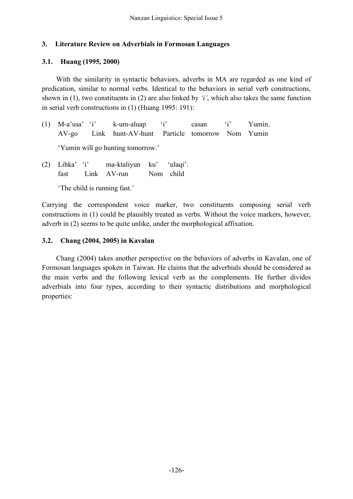### **3. Literature Review on Adverbials in Formosan Languages**

### **3.1. Huang (1995, 2000)**

With the similarity in syntactic behaviors, adverbs in MA are regarded as one kind of predication, similar to normal verbs. Identical to the behaviors in serial verb constructions, shown in (1), two constituents in (2) are also linked by *'i'*, which also takes the same function in serial verb constructions in (1) (Huang 1995: 191):

- (1) M-a'usa' 'i' k-um-aluap 'i' casan 'i' Yumin. AV-go Link hunt-AV-hunt Particle tomorrow Nom Yumin 'Yumin will go hunting tomorrow.'
- (2) Lihka' 'i' ma-ktaliyun ku' 'ulaqi'. fast Link AV-run Nom child

'The child is running fast.'

Carrying the correspondent voice marker, two constituents composing serial verb constructions in (1) could be plausibly treated as verbs. Without the voice markers, however, adverb in (2) seems to be quite unlike, under the morphological affixation.

### **3.2. Chang (2004, 2005) in Kavalan**

Chang (2004) takes another perspective on the behaviors of adverbs in Kavalan, one of Formosan languages spoken in Taiwan. He claims that the adverbials should be considered as the main verbs and the following lexical verb as the complements. He further divides adverbials into four types, according to their syntactic distributions and morphological properties: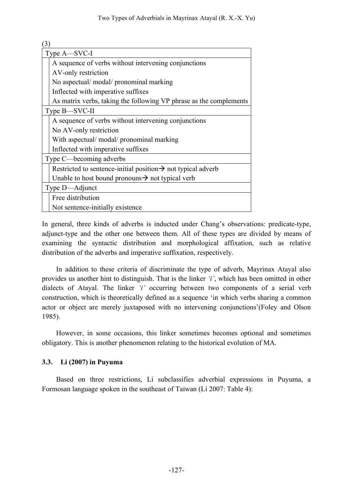| (3)                                                                      |
|--------------------------------------------------------------------------|
| Type A—SVC-I                                                             |
| A sequence of verbs without intervening conjunctions                     |
| AV-only restriction                                                      |
| No aspectual/ modal/ pronominal marking                                  |
| Inflected with imperative suffixes                                       |
| As matrix verbs, taking the following VP phrase as the complements       |
| Type B—SVC-II                                                            |
| A sequence of verbs without intervening conjunctions                     |
| No AV-only restriction                                                   |
| With aspectual/ modal/ pronominal marking                                |
| Inflected with imperative suffixes                                       |
| Type C—becoming adverbs                                                  |
| Restricted to sentence-initial position $\rightarrow$ not typical adverb |
| Unable to host bound pronouns $\rightarrow$ not typical verb             |
| Type D—Adjunct                                                           |
| Free distribution                                                        |
| Not sentence-initially existence                                         |

In general, three kinds of adverbs is inducted under Chang's observations: predicate-type, adjunct-type and the other one between them. All of these types are divided by means of examining the syntactic distribution and morphological affixation, such as relative distribution of the adverbs and imperative suffixation, respectively.

In addition to these criteria of discriminate the type of adverb, Mayrinax Atayal also provides us another hint to distinguish. That is the linker *'i'*, which has been omitted in other dialects of Atayal. The linker *'i'* occurring between two components of a serial verb construction, which is theoretically defined as a sequence 'in which verbs sharing a common actor or object are merely juxtaposed with no intervening conjunctions'(Foley and Olson 1985).

However, in some occasions, this linker sometimes becomes optional and sometimes obligatory. This is another phenomenon relating to the historical evolution of MA.

# **3.3. Li (2007) in Puyuma**

Based on three restrictions, Li subclassifies adverbial expressions in Puyuma, a Formosan language spoken in the southeast of Taiwan (Li 2007: Table 4):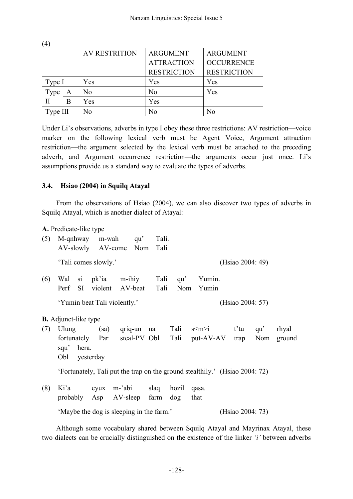|          |   | <b>AV RESTRITION</b> | <b>ARGUMENT</b>    | <b>ARGUMENT</b>    |  |
|----------|---|----------------------|--------------------|--------------------|--|
|          |   |                      | <b>ATTRACTION</b>  | <b>OCCURRENCE</b>  |  |
|          |   |                      | <b>RESTRICTION</b> | <b>RESTRICTION</b> |  |
| Type I   |   | Yes                  | Yes                | Yes                |  |
| Type     | A | No                   | N <sub>0</sub>     | Yes                |  |
| П        | в | Yes                  | Yes                |                    |  |
| Type III |   | No                   | No                 | No                 |  |
|          |   |                      |                    |                    |  |

Under Li's observations, adverbs in type I obey these three restrictions: AV restriction—voice marker on the following lexical verb must be Agent Voice, Argument attraction restriction—the argument selected by the lexical verb must be attached to the preceding adverb, and Argument occurrence restriction—the arguments occur just once. Li's assumptions provide us a standard way to evaluate the types of adverbs.

#### **3.4. Hsiao (2004) in Squilq Atayal**

 $(4)$ 

From the observations of Hsiao (2004), we can also discover two types of adverbs in Squilq Atayal, which is another dialect of Atayal:

| Perf<br>- SI                 |                  |                                                                                 |                      |                                                                                    |                                                                                                                                                                                 |                  |                     |     |                                                                                                                                                                  |
|------------------------------|------------------|---------------------------------------------------------------------------------|----------------------|------------------------------------------------------------------------------------|---------------------------------------------------------------------------------------------------------------------------------------------------------------------------------|------------------|---------------------|-----|------------------------------------------------------------------------------------------------------------------------------------------------------------------|
| 'Yumin beat Tali violently.' |                  |                                                                                 |                      |                                                                                    |                                                                                                                                                                                 |                  |                     |     |                                                                                                                                                                  |
|                              |                  |                                                                                 |                      |                                                                                    |                                                                                                                                                                                 |                  |                     |     |                                                                                                                                                                  |
| Ulung                        |                  |                                                                                 |                      |                                                                                    |                                                                                                                                                                                 |                  |                     | qu' | rhyal                                                                                                                                                            |
|                              |                  |                                                                                 |                      |                                                                                    |                                                                                                                                                                                 |                  |                     | Nom | ground                                                                                                                                                           |
|                              |                  |                                                                                 |                      |                                                                                    |                                                                                                                                                                                 |                  |                     |     |                                                                                                                                                                  |
| Obl                          |                  |                                                                                 |                      |                                                                                    |                                                                                                                                                                                 |                  |                     |     |                                                                                                                                                                  |
|                              |                  |                                                                                 |                      |                                                                                    |                                                                                                                                                                                 |                  |                     |     |                                                                                                                                                                  |
| Ki'a                         |                  |                                                                                 |                      |                                                                                    | qasa.                                                                                                                                                                           |                  |                     |     |                                                                                                                                                                  |
|                              |                  |                                                                                 |                      | $\log$                                                                             | that                                                                                                                                                                            |                  |                     |     |                                                                                                                                                                  |
|                              | (Hsiao 2004: 73) |                                                                                 |                      |                                                                                    |                                                                                                                                                                                 |                  |                     |     |                                                                                                                                                                  |
|                              |                  | A. Predicate-like type<br><b>B.</b> Adjunct-like type<br>squ'hera.<br>yesterday | 'Tali comes slowly.' | M-qnhway m-wah qu'<br>AV-slowly AV-come Nom<br>Wal si pk'ia m-ihiy<br>(sa) qriq-un | Tali.<br>Tali<br>violent AV-beat Tali<br>na<br>fortunately Par steal-PV Obl<br>cyux m-'abi slaq hozil<br>probably Asp AV-sleep farm<br>'Maybe the dog is sleeping in the farm.' | Tali qu'<br>Tali | Yumin.<br>Nom Yumin |     | (Hsiao 2004: 49)<br>(Hsiao 2004: 57)<br>$s \le m > i$ t'tu<br>Tali put-AV-AV trap<br>'Fortunately, Tali put the trap on the ground stealthily.' (Hsiao 2004: 72) |

Although some vocabulary shared between Squilq Atayal and Mayrinax Atayal, these two dialects can be crucially distinguished on the existence of the linker *'i'* between adverbs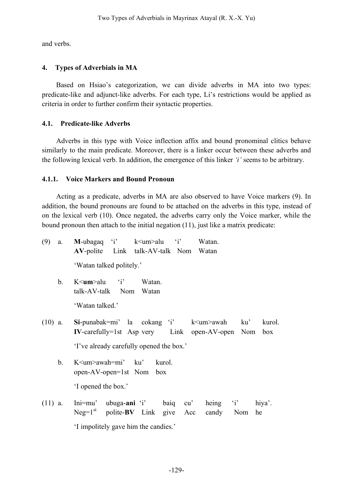and verbs.

# **4. Types of Adverbials in MA**

Based on Hsiao's categorization, we can divide adverbs in MA into two types: predicate-like and adjunct-like adverbs. For each type, Li's restrictions would be applied as criteria in order to further confirm their syntactic properties.

### **4.1. Predicate-like Adverbs**

Adverbs in this type with Voice inflection affix and bound pronominal clitics behave similarly to the main predicate. Moreover, there is a linker occur between these adverbs and the following lexical verb. In addition, the emergence of this linker *'i'* seems to be arbitrary.

### **4.1.1. Voice Markers and Bound Pronoun**

Acting as a predicate, adverbs in MA are also observed to have Voice markers (9). In addition, the bound pronouns are found to be attached on the adverbs in this type, instead of on the lexical verb (10). Once negated, the adverbs carry only the Voice marker, while the bound pronoun then attach to the initial negation (11), just like a matrix predicate:

| (9)       | a. | <b>M</b> -ubagaq 'i' $k$ <um>alu 'i'<br/>Watan.</um>              |
|-----------|----|-------------------------------------------------------------------|
|           |    | AV-polite Link talk-AV-talk Nom Watan                             |
|           |    | 'Watan talked politely.'                                          |
|           | b. | $K \le$ <b>um</b> >alu 'i' Watan.                                 |
|           |    | talk-AV-talk Nom Watan                                            |
|           |    | 'Watan talked.'                                                   |
| $(10)$ a. |    | $Si$ -punabak=mi' la cokang 'i' k $\leq$ um>awah<br>ku'<br>kurol. |
|           |    | $IV$ -carefully=1st Asp very Link open-AV-open Nom box            |
|           |    | 'I've already carefully opened the box.'                          |
|           | b. | K <um>awah=mi' ku'<br/>kurol.</um>                                |
|           |    | open-AV-open=1st Nom box                                          |
|           |    | 'I opened the box.'                                               |
| $(11)$ a. |    | Ini=mu' ubuga-ani 'i' baiq cu' heing 'i' hiya'.                   |
|           |    | $Neg=1st$ polite-BV Link give Acc<br>candy<br>Nom<br>he           |
|           |    |                                                                   |

'I impolitely gave him the candies.'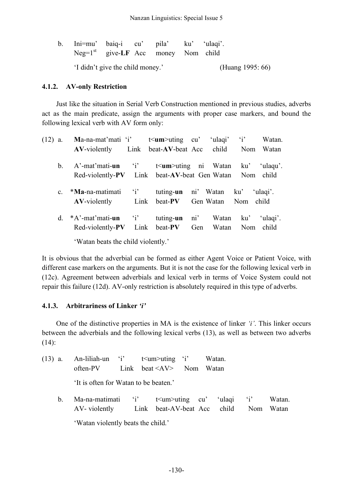| b. Ini=mu' baiq-i cu' pila' ku' 'ulaqi'. |                                       |                  |  |  |
|------------------------------------------|---------------------------------------|------------------|--|--|
|                                          | $Neg=1st$ give-LF Acc money Nom child |                  |  |  |
|                                          | 'I didn't give the child money.'      | (Huang 1995: 66) |  |  |

## **4.1.2. AV-only Restriction**

Just like the situation in Serial Verb Construction mentioned in previous studies, adverbs act as the main predicate, assign the arguments with proper case markers, and bound the following lexical verb with AV form only:

| $(12)$ a. |                | Ma-na-mat'mati 'i'  |              | $t$ Im >uting cu'      |     | 'ulaqi'       | $\mathbf{Y}$ | Watan.   |
|-----------|----------------|---------------------|--------------|------------------------|-----|---------------|--------------|----------|
|           |                | <b>AV-violently</b> | Link         | beat-AV-beat Acc       |     | child         | Nom          | Watan    |
|           | $\mathbf{b}$ . | $A'$ -mat'mati-un   | $i^{\prime}$ | $t$ Im >uting ni Watan |     |               | ku'          | 'ulaqu'. |
|           |                | Red-violently-PV    | Link         | beat-AV-beat Gen Watan |     |               | Nom          | child    |
|           | $\mathbf{c}$   | *Ma-na-matimati     | i'           | tuting-un              |     | ni' Watan ku' |              | 'ulagi'. |
|           |                | $AV-violently$      | Link         | beat-PV                |     | Gen Watan     | Nom          | child    |
|           | d.             | $*A'$ -mat'mati-un  | $i^{\prime}$ | tuting-un              | ni' | Watan         | ku'          | 'ulaqi'. |
|           |                | Red-violently-PV    | Link         | beat-PV                | Gen | Watan         | Nom          | child    |

'Watan beats the child violently.'

It is obvious that the adverbial can be formed as either Agent Voice or Patient Voice, with different case markers on the arguments. But it is not the case for the following lexical verb in (12c). Agreement between adverbials and lexical verb in terms of Voice System could not repair this failure (12d). AV-only restriction is absolutely required in this type of adverbs.

### **4.1.3. Arbitrariness of Linker** *'i'*

One of the distinctive properties in MA is the existence of linker *'i'*. This linker occurs between the adverbials and the following lexical verbs (13), as well as between two adverbs  $(14)$ :

| (13) a. An-liliah-un 'i' $t \leq u$ m>uting 'i' Watan.<br>often-PV $\qquad$ Link beat $\langle$ AV $>$ Nom Watan |  |  |
|------------------------------------------------------------------------------------------------------------------|--|--|
| 'It is often for Watan to be beaten.'                                                                            |  |  |

b. Ma-na-matimati 'i' t<um>uting cu' 'ulaqi 'i' Watan. AV- violently Link beat-AV-beat Acc child Nom Watan

'Watan violently beats the child.'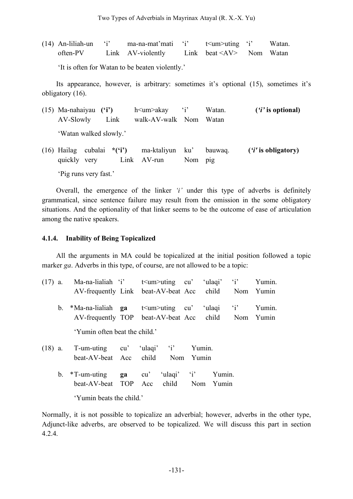| $(14)$ An-liliah-un 'i' | ma-na-mat'mati 'i' | t i' two-verting that                    | Watan. |
|-------------------------|--------------------|------------------------------------------|--------|
| often-PV                | Link AV-violently  | Link beat $\langle AV \rangle$ Nom Watan |        |

'It is often for Watan to be beaten violently.'

Its appearance, however, is arbitrary: sometimes it's optional (15), sometimes it's obligatory (16).

| $(15)$ Ma-nahaiyau $('i')$<br>AV-Slowly Link    |  | h <um>akay 'i'<br/>walk-AV-walk Nom Watan</um> |                                        | Watan.  | $(i'$ is optional) |                      |
|-------------------------------------------------|--|------------------------------------------------|----------------------------------------|---------|--------------------|----------------------|
| 'Watan walked slowly.'                          |  |                                                |                                        |         |                    |                      |
| $(16)$ Hailag cubalai * $('i')$<br>quickly very |  |                                                | ma-ktaliyun ku' bauwaq.<br>Link AV-run | Nom pig |                    | $(i'$ is obligatory) |

'Pig runs very fast.'

Overall, the emergence of the linker *'i'* under this type of adverbs is definitely grammatical, since sentence failure may result from the omission in the some obligatory situations. And the optionality of that linker seems to be the outcome of ease of articulation among the native speakers.

### **4.1.4. Inability of Being Topicalized**

All the arguments in MA could be topicalized at the initial position followed a topic marker *ga*. Adverbs in this type, of course, are not allowed to be a topic:

| $(17)$ a. |         | Ma-na-lialiah 'i'<br>AV-frequently Link beat-AV-beat Acc child Nom Yumin |    |     | $t$ sum >uting cu  |        | ulaqi <sup>'</sup> | $\mathbf{a}$ | Yumin. |
|-----------|---------|--------------------------------------------------------------------------|----|-----|--------------------|--------|--------------------|--------------|--------|
|           | $b_{-}$ | *Ma-na-lialiah ga<br>AV-frequently TOP beat-AV-beat Acc child Nom Yumin  |    |     | $t$ sum >uting cu' |        | ulaqi <sup>*</sup> | $i^{\prime}$ | Yumin. |
|           |         | 'Yumin often beat the child.'                                            |    |     |                    |        |                    |              |        |
| $(18)$ a. |         | T-um-uting cu' 'ulaqi' 'i'<br>beat-AV-beat Acc                           |    |     | child Nom Yumin    | Yumin. |                    |              |        |
|           | b.      | $*T$ -um-uting<br>beat-AV-beat TOP Acc child Nom Yumin                   | ga | cu' | 'ulaqi' 'i'        |        | Yumin.             |              |        |
|           |         | 'Yumin beats the child.'                                                 |    |     |                    |        |                    |              |        |

Normally, it is not possible to topicalize an adverbial; however, adverbs in the other type, Adjunct-like adverbs, are observed to be topicalized. We will discuss this part in section 4.2.4.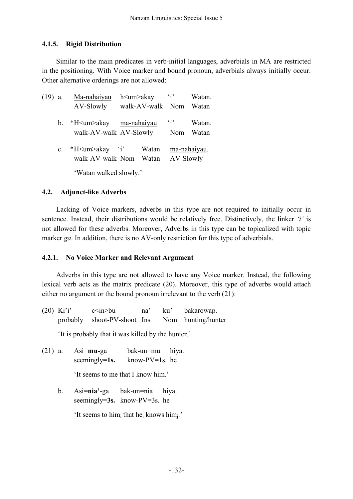### **4.1.5. Rigid Distribution**

Similar to the main predicates in verb-initial languages, adverbials in MA are restricted in the positioning. With Voice marker and bound pronoun, adverbials always initially occur. Other alternative orderings are not allowed:

| $(19)$ a.      | Ma-nahaiyau                                         | h <um>akay</um>  | $i^{\prime}$ | Watan. |
|----------------|-----------------------------------------------------|------------------|--------------|--------|
|                | AV-Slowly                                           | walk-AV-walk Nom |              | Watan  |
|                | *H <um>akay ma-nahaiyau<br/><math>b_{-}</math></um> |                  | $\mathbf{1}$ | Watan. |
|                | walk-AV-walk AV-Slowly                              |                  | Nom          | Watan  |
| $\mathbf{c}$ . | *H <um>akay 'i'</um>                                | Watan            | ma-nahaiyau. |        |
|                | walk-AV-walk Nom                                    | Watan            | AV-Slowly    |        |
|                | 'Watan walked slowly.'                              |                  |              |        |

### **4.2. Adjunct-like Adverbs**

Lacking of Voice markers, adverbs in this type are not required to initially occur in sentence. Instead, their distributions would be relatively free. Distinctively, the linker *'i'* is not allowed for these adverbs. Moreover, Adverbs in this type can be topicalized with topic marker *ga*. In addition, there is no AV-only restriction for this type of adverbials.

### **4.2.1. No Voice Marker and Relevant Argument**

Adverbs in this type are not allowed to have any Voice marker. Instead, the following lexical verb acts as the matrix predicate (20). Moreover, this type of adverbs would attach either no argument or the bound pronoun irrelevant to the verb (21):

(20) Ki'i'  $c \leq n > bu$  na' ku' bakarowap. probably shoot-PV-shoot Ins Nom hunting/hunter

'It is probably that it was killed by the hunter.'

(21) a. Asi=**mu**-ga bak-un=mu hiya. seemingly=1s. know-PV=1s. he

'It seems to me that I know him.'

b. Asi=**nia'**-ga bak-un=nia hiya. seemingly=**3s.** know-PV=3s. he

'It seems to him<sub>i</sub> that he<sub>i</sub> knows him<sub>i</sub>.'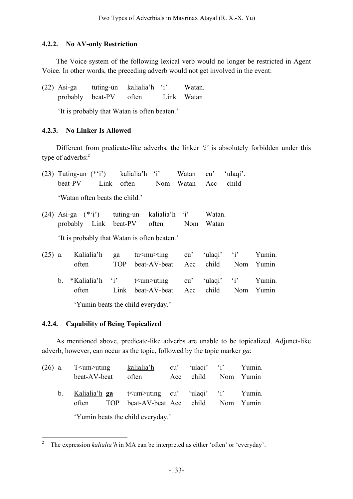### **4.2.2. No AV-only Restriction**

The Voice system of the following lexical verb would no longer be restricted in Agent Voice. In other words, the preceding adverb would not get involved in the event:

(22) Asi-ga tuting-un kalialia'h 'i' Watan. probably beat-PV often Link Watan

'It is probably that Watan is often beaten.'

### **4.2.3. No Linker Is Allowed**

Different from predicate-like adverbs, the linker *'i'* is absolutely forbidden under this type of adverbs:<sup>2</sup>

|           |    |                                |                  | $(23)$ Tuting-un $(*i')$ kalialia'h 'i' Watan                                      | cu'               | 'ulagi'.                                              |        |
|-----------|----|--------------------------------|------------------|------------------------------------------------------------------------------------|-------------------|-------------------------------------------------------|--------|
|           |    | beat-PV                        |                  | Link often Nom Watan Acc                                                           |                   | child                                                 |        |
|           |    | 'Watan often beats the child.' |                  |                                                                                    |                   |                                                       |        |
|           |    |                                |                  | $(24)$ Asi-ga $(*'i')$ tuting-un kalialia'h 'i'<br>probably Link beat-PV often Nom | Watan.<br>Watan   |                                                       |        |
|           |    |                                |                  | 'It is probably that Watan is often beaten.'                                       |                   |                                                       |        |
| $(25)$ a. |    | Kalialia'h<br>often            | ga<br><b>TOP</b> | $tu$ ing                                                                           |                   | $cu'$ 'ulaqi' 'i'<br>beat-AV-beat Acc child Nom Yumin | Yumin. |
|           | b. | *Kalialia'h 'i'                |                  | $t<$ um $>$ uting                                                                  | $cu'$ 'ulaqi' 'i' |                                                       | Yumin. |

'Yumin beats the child everyday.'

# **4.2.4. Capability of Being Topicalized**

As mentioned above, predicate-like adverbs are unable to be topicalized. Adjunct-like adverb, however, can occur as the topic, followed by the topic marker *ga*:

often Link beat-AV-beat Acc child Nom Yumin

| $(26)$ a. | T <um>uting</um>                                                                                                                                                                                                                                                                                  | kalialia'h | cu' 'ulaqi' 'i' Yumin. |  |
|-----------|---------------------------------------------------------------------------------------------------------------------------------------------------------------------------------------------------------------------------------------------------------------------------------------------------|------------|------------------------|--|
|           | beat-AV-beat                                                                                                                                                                                                                                                                                      | often      | Acc child Nom Yumin    |  |
| $b_{-}$   | Kalialia'h ga $t$ $\leq$ $t$ $\leq$ $t$ $\leq$ $t$ $\leq$ $t$ $\leq$ $t$ $\leq$ $t$ $\leq$ $t$ $\leq$ $t$ $\leq$ $t$ $\leq$ $t$ $\leq$ $t$ $\leq$ $t$ $\leq$ $t$ $\leq$ $t$ $\leq$ $t$ $\leq$ $t$ $\leq$ $t$ $\leq$ $t$ $\leq$ $t$ $\leq$ $t$ $\le$<br>often TOP beat-AV-beat Acc child Nom Yumin |            |                        |  |
|           | 'Yumin beats the child everyday.'                                                                                                                                                                                                                                                                 |            |                        |  |

<sup>&</sup>lt;sup>2</sup> The expression *kalialia'h* in MA can be interpreted as either 'often' or 'everyday'.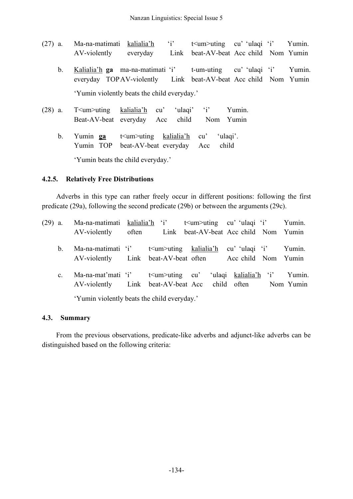| $(27)$ a.     | Ma-na-matimati kalialia'h |                                                                                                                              | $i^{\prime}$ | $t$ sum >uting cu' 'ulaqi 'i' Yumin. |        |        |
|---------------|---------------------------|------------------------------------------------------------------------------------------------------------------------------|--------------|--------------------------------------|--------|--------|
|               | AV-violently              | everyday                                                                                                                     | Link         | beat-AV-beat Acc child Nom Yumin     |        |        |
| $b_{\cdot}$   |                           | Kalialia'h ga ma-na-matimati 'i' t-um-uting cu' 'ulaqi 'i'<br>everyday TOPAV-violently Link beat-AV-beat Acc child Nom Yumin |              |                                      |        | Yumin. |
|               |                           | 'Yumin violently beats the child everyday.'                                                                                  |              |                                      |        |        |
| $(28)$ a.     |                           | $T$ im >uting kalialia'h cu'<br>Beat-AV-beat everyday Acc child Nom Yumin                                                    |              | 'ulaqi' 'i'                          | Yumin. |        |
| $\mathbf b$ . | Yumin ga                  | t \tim >uting kalialia'h cu'<br>Yumin TOP beat-AV-beat everyday Acc child                                                    |              | 'ulaqi'.                             |        |        |

'Yumin beats the child everyday.'

## **4.2.5. Relatively Free Distributions**

Adverbs in this type can rather freely occur in different positions: following the first predicate (29a), following the second predicate (29b) or between the arguments (29c).

| $(29)$ a. |                | Ma-na-matimati kalialia'h 'i' $t$ <um>uting cu' ulaqi 'i'</um> |       |  |                                       |                              |  | Yumin. |  |
|-----------|----------------|----------------------------------------------------------------|-------|--|---------------------------------------|------------------------------|--|--------|--|
|           |                | AV-violently                                                   | often |  | Link beat-AV-beat Acc child Nom Yumin |                              |  |        |  |
|           | b.             | Ma-na-matimati 'i' t <um>uting kalialia'h</um>                 |       |  |                                       | cu'ulaqi 'i'                 |  | Yumin. |  |
|           |                | AV-violently Link beat-AV-beat often Acc child Nom Yumin       |       |  |                                       |                              |  |        |  |
|           | $\mathbf{C}$ . | Ma-na-mat'mati 'i' $t$ $\leq$ $t$ um $>$ uting cu'             |       |  |                                       | 'ulaqi kalialia'h 'i' Yumin. |  |        |  |
|           |                | AV-violently Link beat-AV-beat Acc child often Nom Yumin       |       |  |                                       |                              |  |        |  |
|           |                | 'Yumin violently beats the child everyday.'                    |       |  |                                       |                              |  |        |  |

#### **4.3. Summary**

From the previous observations, predicate-like adverbs and adjunct-like adverbs can be distinguished based on the following criteria: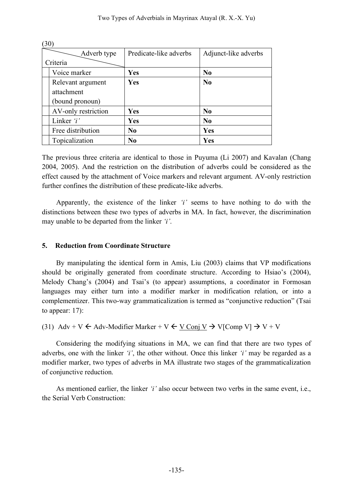| (30)                                                          |                |                |  |  |  |  |
|---------------------------------------------------------------|----------------|----------------|--|--|--|--|
| Predicate-like adverbs<br>Adjunct-like adverbs<br>Adverb type |                |                |  |  |  |  |
| Criteria                                                      |                |                |  |  |  |  |
| Voice marker                                                  | Yes            | N <sub>0</sub> |  |  |  |  |
| Relevant argument                                             | Yes            | $\bf No$       |  |  |  |  |
| attachment                                                    |                |                |  |  |  |  |
| (bound pronoun)                                               |                |                |  |  |  |  |
| AV-only restriction                                           | Yes            | No             |  |  |  |  |
| Linker $'i'$                                                  | Yes            | N <sub>0</sub> |  |  |  |  |
| Free distribution                                             | N <sub>0</sub> | Yes            |  |  |  |  |
| Topicalization                                                | N <sub>0</sub> | <b>Yes</b>     |  |  |  |  |

The previous three criteria are identical to those in Puyuma (Li 2007) and Kavalan (Chang 2004, 2005). And the restriction on the distribution of adverbs could be considered as the effect caused by the attachment of Voice markers and relevant argument. AV-only restriction further confines the distribution of these predicate-like adverbs.

Apparently, the existence of the linker *'i'* seems to have nothing to do with the distinctions between these two types of adverbs in MA. In fact, however, the discrimination may unable to be departed from the linker *'i'*.

### **5. Reduction from Coordinate Structure**

By manipulating the identical form in Amis, Liu (2003) claims that VP modifications should be originally generated from coordinate structure. According to Hsiao's (2004), Melody Chang's (2004) and Tsai's (to appear) assumptions, a coordinator in Formosan languages may either turn into a modifier marker in modification relation, or into a complementizer. This two-way grammaticalization is termed as "conjunctive reduction" (Tsai to appear: 17):

```
(31) Adv + V \leftarrow Adv-Modifier Marker + V \leftarrow <u>V Conj V</u> \rightarrow V[Comp V] \rightarrow V + V
```
Considering the modifying situations in MA, we can find that there are two types of adverbs, one with the linker *'i'*, the other without. Once this linker *'i'* may be regarded as a modifier marker, two types of adverbs in MA illustrate two stages of the grammaticalization of conjunctive reduction.

As mentioned earlier, the linker *'i'* also occur between two verbs in the same event, i.e., the Serial Verb Construction: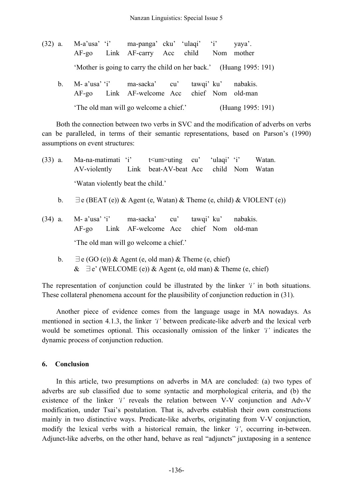| $(32)$ a. |                                        |  | M-a'usa' 'i' ma-panga' cku' 'ulaqi' 'i'<br>AF-go Link AF-carry Acc child Nom mother           |  |  |  | yaya'.                                                              |
|-----------|----------------------------------------|--|-----------------------------------------------------------------------------------------------|--|--|--|---------------------------------------------------------------------|
|           |                                        |  |                                                                                               |  |  |  | 'Mother is going to carry the child on her back.' (Huang 1995: 191) |
| $b_{-}$   |                                        |  | M-a'usa' 'i' ma-sacka' cu' tawqi' ku' nabakis.<br>AF-go Link AF-welcome Acc chief Nom old-man |  |  |  |                                                                     |
|           | 'The old man will go welcome a chief.' |  |                                                                                               |  |  |  | (Huang 1995: 191)                                                   |

Both the connection between two verbs in SVC and the modification of adverbs on verbs can be paralleled, in terms of their semantic representations, based on Parson's (1990) assumptions on event structures:

(33) a. Ma-na-matimati 'i' t<um>uting cu' 'ulaqi' 'i' Watan. AV-violently Link beat-AV-beat Acc child Nom Watan 'Watan violently beat the child.'

- b.  $\exists$  e (BEAT (e)) & Agent (e, Watan) & Theme (e, child) & VIOLENT (e))
- (34) a. M- a'usa' 'i' ma-sacka' cu' tawqi' ku' nabakis. AF-go Link AF-welcome Acc chief Nom old-man 'The old man will go welcome a chief.'
	- b.  $\exists e$  (GO (e)) & Agent (e, old man) & Theme (e, chief) &  $∃e'$  (WELCOME (e)) & Agent (e, old man) & Theme (e, chief)

The representation of conjunction could be illustrated by the linker *'i'* in both situations. These collateral phenomena account for the plausibility of conjunction reduction in (31).

Another piece of evidence comes from the language usage in MA nowadays. As mentioned in section 4.1.3, the linker *'i'* between predicate-like adverb and the lexical verb would be sometimes optional. This occasionally omission of the linker *'i'* indicates the dynamic process of conjunction reduction.

### **6. Conclusion**

In this article, two presumptions on adverbs in MA are concluded: (a) two types of adverbs are sub classified due to some syntactic and morphological criteria, and (b) the existence of the linker *'i'* reveals the relation between V-V conjunction and Adv-V modification, under Tsai's postulation. That is, adverbs establish their own constructions mainly in two distinctive ways. Predicate-like adverbs, originating from V-V conjunction, modify the lexical verbs with a historical remain, the linker *'i'*, occurring in-between. Adjunct-like adverbs, on the other hand, behave as real "adjuncts" juxtaposing in a sentence